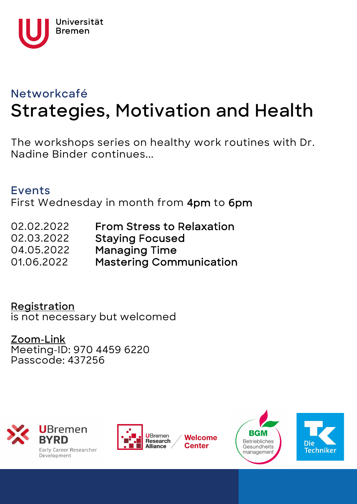

# **Networkcafé Strategies, Motivation and Health**

The workshops series on healthy work routines with Dr. Nadine Binder continues...

### **Events**

First Wednesday in month from 4pm to 6pm

02.02.2022 From Stress to Relaxation 02.03.2022 Staying Focused 04.05.2022 Managing Time 01.06.2022 Mastering Communication

### **[Registration](https://www.uni-bremen.de/research-alliance/welcome-center/veranstaltungen/anmeldung-netzwerkcafe-020222)** is not necessary but welcomed

### **[Zoom-Link](https://uni-bremen.zoom.us/j/97044596220?pwd=c29SWDUrRzRKWW93aUtjM2FqMGdKZz09)** Meeting-ID: 970 4459 6220 Passcode: 437256



Early Career Researcher Development